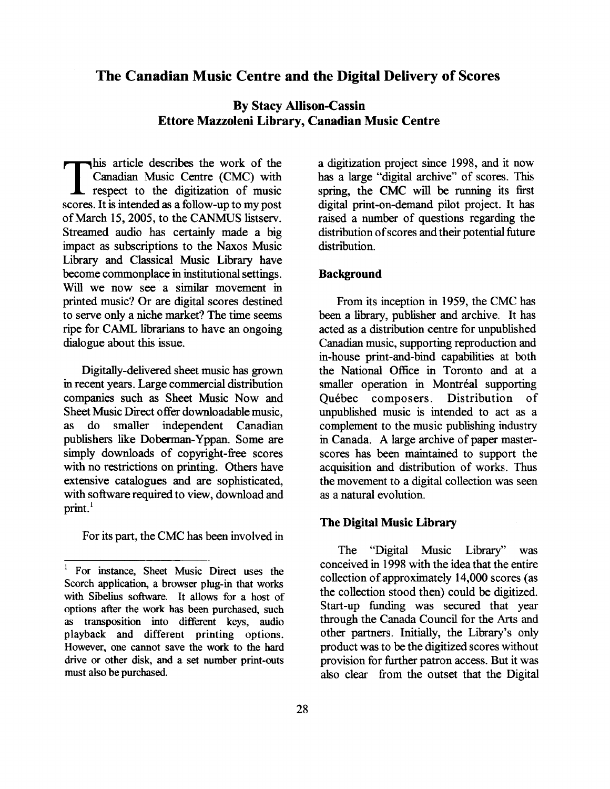## **The Canadian Music Centre and the Digital Delivery of Scores**

# **By Stacy Allison-Cassin Ettore Mazzoleni Library, Canadian Music Centre**

This article describes the work of the<br>Canadian Music Centre (CMC) with<br>respect to the digitization of music<br>scores It is intended as a follow-up to my post Canadian Music Centre (CMC) with respect to the digitization of music scores. It is intended as a follow-up to my post of March 15,2005, to the CANMUS listserv. Streamed audio has certainly made a big impact as subscriptions to the Naxos Music Library and Classical Music Library have become commonplace in institutional settings. Will we now see a similar movement in printed music? Or are digital scores destined to serve only a niche market? The time seems ripe for CAML librarians to have an ongoing dialogue about this issue.

Digitally-delivered sheet music has grown in recent years. Large commercial distribution companies such as Sheet Music Now and Sheet Music Direct offer downloadable music, as do smaller independent Canadian publishers like Doberman-Yppan. Some are simply downloads of copyright-fiee scores with no restrictions on printing. Others have extensive catalogues and are sophisticated, with software required to view, download and print.'

For its part, the CMC has been involved in

a digitization project since 1998, and it now has a large "digital archive" of scores. This spring, the CMC will be running its first digital print-on-demand pilot project. It has raised a number of questions regarding the distribution of scores and their potential hture distribution.

### **Background**

From its inception in 1959, the CMC has been a library, publisher and archive. It has acted as a distribution centre for unpublished Canadian music, supporting reproduction and in-house print-and-bind capabilities at both the National Office in Toronto and at a smaller operation in Montréal supporting Quebec composers. Distribution of unpublished music is intended to act as a complement to the music publishing industry in Canada. **A** large archive of paper masterscores has been maintained to support the acquisition and distribution of works. Thus the movement to a digital collection was seen as a natural evolution.

#### **The Digital Music Library**

The "Digital Music Library" was conceived in 1998 with the idea that the entire collection of approximately 14,000 scores (as the collection stood then) could be digitized. Start-up funding was secured that year through the Canada Council for the Arts and other partners. Initially, the Library's only product was to be the digitized scores without provision for further patron access. But it was also clear fiom the outset that the Digital

<sup>1</sup> For instance, Sheet Music Direct uses the Scorch application, a browser plug-in that works with Sibelius software. It allows for a host of options after the work has been purchased, such as transposition into different keys, audio playback and different printing options. However, one cannot save the work to the hard drive or other disk, and a set number print-outs must also be purchased.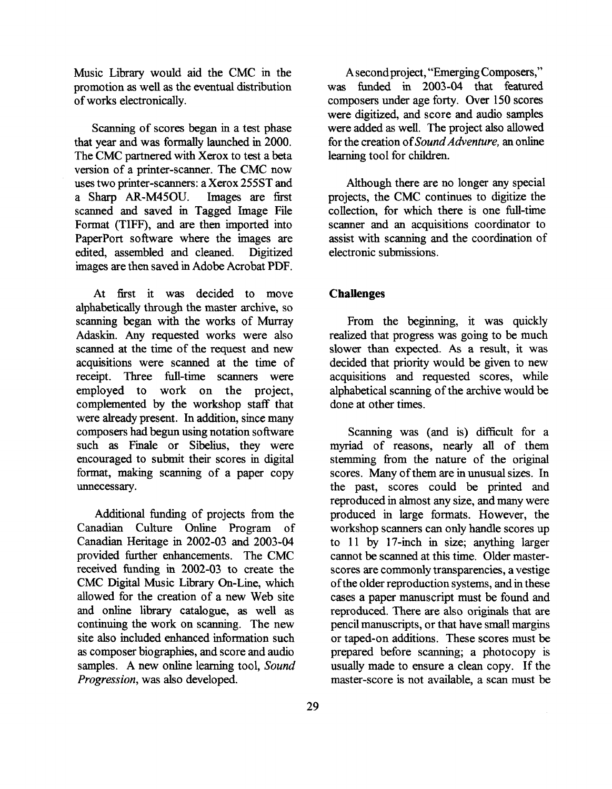Music Library would aid the CMC in the promotion as well as the eventual distribution of works electronically.

Scanning of scores began in a test phase that year and was formally launched in 2000. The CMC partnered with Xerox to test a beta version of a printer-scanner. The CMC now uses two printer-scanners: a Xerox 255ST and a Sharp **AR-M450U.** Images are first scanned and saved in Tagged Image File Format (TIFF), and are then imported into PaperPort software where the images are edited, assembled and cleaned. Digitized images are then saved in Adobe Acrobat PDF.

At first it was decided to move alphabetically through the master archive, so scanning began with the works of Murray Adaskin. Any requested works were also scanned at the time of the request and new acquisitions were scanned at the time of receipt. Three full-time scanners were employed to work on the project, complemented by the workshop staff that were already present. In addition, since many composers had begun using notation software such **as** Finale or Sibelius, they were encouraged to submit their scores in digital format, making scanning of a paper copy unnecessary.

Additional funding of projects from the Canadian Culture Online Program of Canadian Heritage in 2002-03 and 2003-04 provided further enhancements. The CMC received funding in 2002-03 to create the CMC Digital Music Library On-Line, which allowed for the creation of a new Web site and online library catalogue, **as** well **as**  continuing the work on scanning. The new site also included enhanced information such **as** composer biographies, and score and audio samples. A new online learning tool, Sound Progression, was also developed.

**A** second project, "Emerging Composers," was funded in 2003-04 that featured composers under age forty. Over 150 scores were digitized, and score and audio samples were added as well. The project also allowed for the creation of Sound Adventure, an online learning tool for children.

Although there are no longer any special projects, the CMC continues to digitize the collection, for which there is one full-time scanner and an acquisitions coordinator to assist with scanning and the coordination of electronic submissions.

## **Challenges**

From the beginning, it was quickly realized that progress was going to be much slower than expected. **As** a result, it was decided that priority would be given to new acquisitions and requested scores, while alphabetical scanning of the archive would be done at other times.

Scanning was (and is) difficult for a myriad of reasons, nearly all of them stemming from the nature of the original scores. Many of them are in unusual sizes. In the past, scores could be printed and reproduced in almost any size, and many were produced in large formats. However, the workshop scanners can only handle scores up to 11 by 17-inch in size; anything larger cannot be scanned at this time. Older masterscores are commonly transparencies, a vestige of the older reproduction systems, and in these cases a paper manuscript must be found and reproduced. There are also originals that are pencil manuscripts, or that have small margins or taped-on additions. These scores must be prepared before scanning; a photocopy is usually made to ensure a clean copy. If the master-score is not available, a scan must be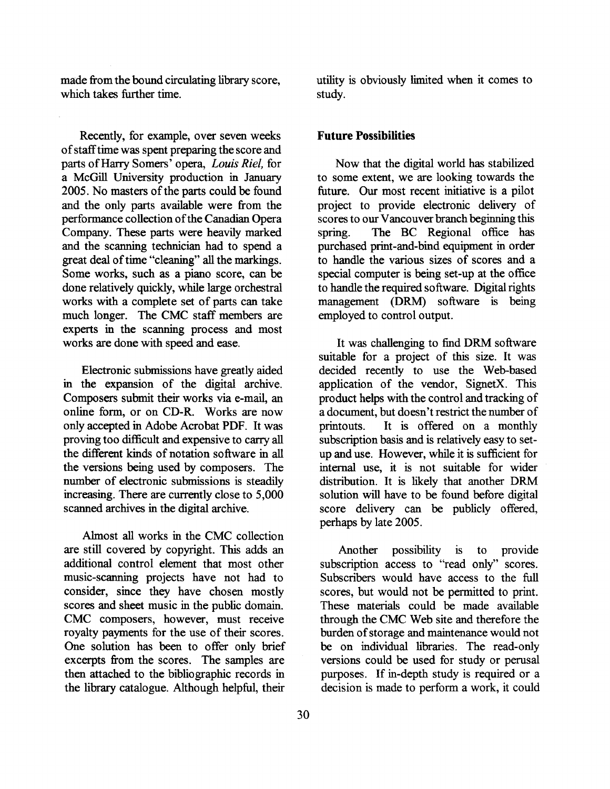made fiom the bound circulating library score, which takes further time.

Recently, for example, over seven weeks of stafftime was spent preparing the score and parts of Harry Somers' opera, **Louis** *Riel,* for a McGill University production in January 2005. No masters of the parts could be found and the only parts available were from the performance collection of the Canadian Opera Company. These parts were heavily marked and the scanning technician had to spend a great deal of time "cleaning" all the markings. Some works, such as a piano score, can be done relatively quickly, while large orchestral works with a complete set of parts can take much longer. The CMC staff members are experts in the scanning process and most works are done with speed and ease.

Electronic submissions have greatly aided in the expansion of the digital archive. Composers submit their works via e-mail, an online form, or on CD-R. Works are now only accepted in Adobe Acrobat PDF. It was proving too difficult and expensive to carry all the different kinds of notation software in all the versions being used by composers. The number of electronic submissions is steadily increasing. There are currently close to 5,000 scanned archives in the digital archive.

Almost all works in the CMC collection are still covered by copyright. This adds an additional control element that most other music-scanning projects have not had to consider, since they have chosen mostly scores and sheet music in the public domain. CMC composers, however, must receive royalty payments for the use of their scores. One solution has been to offer only brief excerpts fiom the scores. The samples are then attached to the bibliographic records in the library catalogue. Although helpful, their

utility is obviously limited when it comes to study.

#### **Future Possibilities**

Now that the digital world has stabilized to some extent, we are looking towards the future. Our most recent initiative is a pilot project to provide electronic delivery of scores to our Vancouver branch beginning this spring. The BC Regional office has purchased print-and-bind equipment in order to handle the various sizes of scores and a special computer is being set-up at the office to handle the required software. Digital rights management (DRM) software is being employed to control output.

It was challenging to find DRM software suitable for a project of this size. It was decided recently to use the Web-based application of the vendor, SignetX. This product helps with the control and tracking of a document, but doesn't restrict the number of printouts. It is offered on a monthly subscription basis and is relatively easy to setup and use. However, while it is sufficient for internal use, it is not suitable for wider distribution. It is likely that another DRM solution will have to be found before digital score delivery can be publicly offered, perhaps by late 2005.

Another possibility is to provide subscription access to "read only" scores. Subscribers would have access to the full scores, but would not be permitted to print. These materials could be made available through the CMC Web site and therefore the burden of storage and maintenance would not be on individual libraries. The read-only versions could be used for study or perusal purposes. If in-depth study is required or a decision is made to perform a work, it could